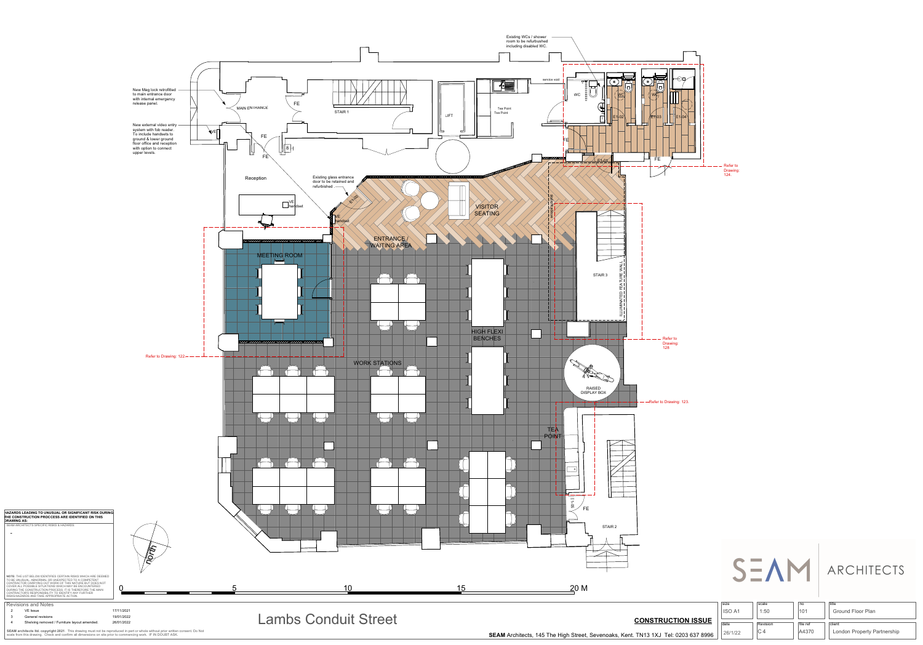Lambs Conduit Street

2 VE Issue 17/11/2021

3 General revisions 19/01/2022 4 Shelving removed / Furniture layout amended. 26/01/2022

**SEAM architects ltd. copyright 2021**. This drawing must not be reproduced in part or whole without prior written consent. Do Not scale from this drawing. Check and confirm all dimensions on site prior to commencing work. IF IN DOUBT ASK.



**THE CONSTRUCTION PROCCESS ARE IDENTIFIED ON THIS**

**DRAWING AS:**

| SEAM ARCHITECTS SPECIFIC RISKS & HAZARDS:                                                                                     |  |
|-------------------------------------------------------------------------------------------------------------------------------|--|
|                                                                                                                               |  |
|                                                                                                                               |  |
|                                                                                                                               |  |
|                                                                                                                               |  |
|                                                                                                                               |  |
|                                                                                                                               |  |
|                                                                                                                               |  |
|                                                                                                                               |  |
|                                                                                                                               |  |
|                                                                                                                               |  |
| <b>NOTE:</b> THE LIST BELOW IDENTIFIES CERTAIN RISKS WHICH ARE DEEMED<br>TO BE UNUSUAL, ABNORMAL OR UNEXPECTED TO A COMPETENT |  |
| CONTRACTOR CARRYING OUT WORK OF THIS NATURE BUT DOES NOT                                                                      |  |
| COVER ALL POSSIBLE SITUATIONS WHICH MAY BE ENCOUNTERED<br>DURING THE CONSTRUCTION PROCESS. IT IS THEREFORE THE MAIN           |  |
|                                                                                                                               |  |

CONTRACTOR'S RESPONSIBILITY TO IDENTIFY ANY FURTHER

RISKS/HAZARDS AND TAKE APPROPRIATE ACTION.

## **CONSTRUCTION ISSUE**

Drawing: 124.